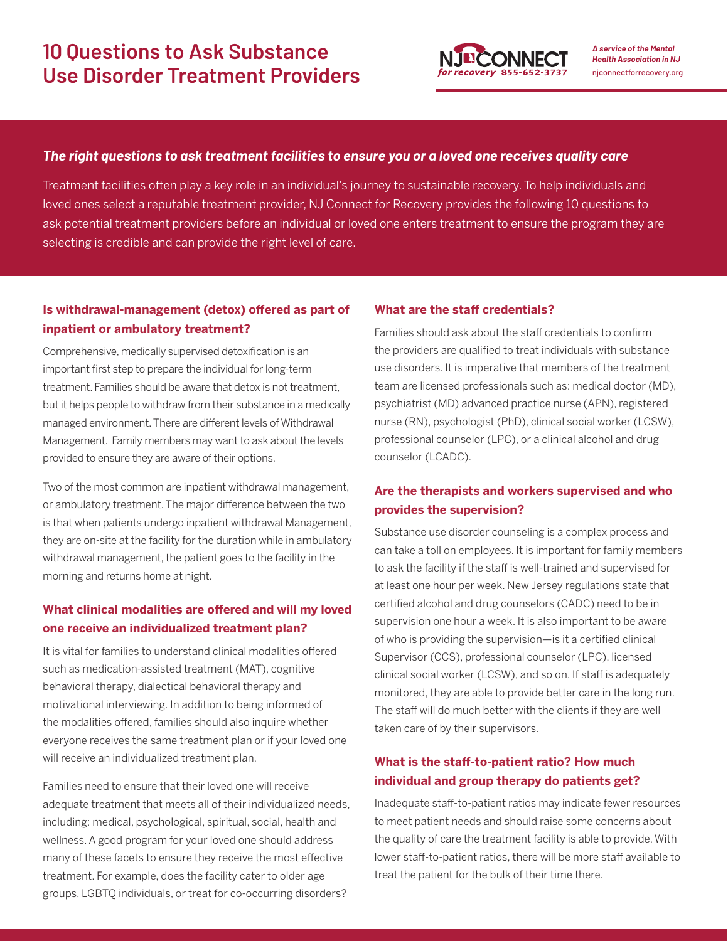

*A service of the Mental Health Association in NJ* njconnectforrecovery.org

### *The right questions to ask treatment facilities to ensure you or a loved one receives quality care*

Treatment facilities often play a key role in an individual's journey to sustainable recovery. To help individuals and loved ones select a reputable treatment provider, NJ Connect for Recovery provides the following 10 questions to ask potential treatment providers before an individual or loved one enters treatment to ensure the program they are selecting is credible and can provide the right level of care.

### **Is withdrawal-management (detox) offered as part of inpatient or ambulatory treatment?**

Comprehensive, medically supervised detoxification is an important first step to prepare the individual for long-term treatment. Families should be aware that detox is not treatment, but it helps people to withdraw from their substance in a medically managed environment. There are different levels of Withdrawal Management. Family members may want to ask about the levels provided to ensure they are aware of their options.

Two of the most common are inpatient withdrawal management, or ambulatory treatment. The major difference between the two is that when patients undergo inpatient withdrawal Management, they are on-site at the facility for the duration while in ambulatory withdrawal management, the patient goes to the facility in the morning and returns home at night.

## **What clinical modalities are offered and will my loved one receive an individualized treatment plan?**

It is vital for families to understand clinical modalities offered such as medication-assisted treatment (MAT), cognitive behavioral therapy, dialectical behavioral therapy and motivational interviewing. In addition to being informed of the modalities offered, families should also inquire whether everyone receives the same treatment plan or if your loved one will receive an individualized treatment plan.

Families need to ensure that their loved one will receive adequate treatment that meets all of their individualized needs, including: medical, psychological, spiritual, social, health and wellness. A good program for your loved one should address many of these facets to ensure they receive the most effective treatment. For example, does the facility cater to older age groups, LGBTQ individuals, or treat for co-occurring disorders?

#### **What are the staff credentials?**

Families should ask about the staff credentials to confirm the providers are qualified to treat individuals with substance use disorders. It is imperative that members of the treatment team are licensed professionals such as: medical doctor (MD), psychiatrist (MD) advanced practice nurse (APN), registered nurse (RN), psychologist (PhD), clinical social worker (LCSW), professional counselor (LPC), or a clinical alcohol and drug counselor (LCADC).

## **Are the therapists and workers supervised and who provides the supervision?**

Substance use disorder counseling is a complex process and can take a toll on employees. It is important for family members to ask the facility if the staff is well-trained and supervised for at least one hour per week. New Jersey regulations state that certified alcohol and drug counselors (CADC) need to be in supervision one hour a week. It is also important to be aware of who is providing the supervision—is it a certified clinical Supervisor (CCS), professional counselor (LPC), licensed clinical social worker (LCSW), and so on. If staff is adequately monitored, they are able to provide better care in the long run. The staff will do much better with the clients if they are well taken care of by their supervisors.

## **What is the staff-to-patient ratio? How much individual and group therapy do patients get?**

Inadequate staff-to-patient ratios may indicate fewer resources to meet patient needs and should raise some concerns about the quality of care the treatment facility is able to provide. With lower staff-to-patient ratios, there will be more staff available to treat the patient for the bulk of their time there.